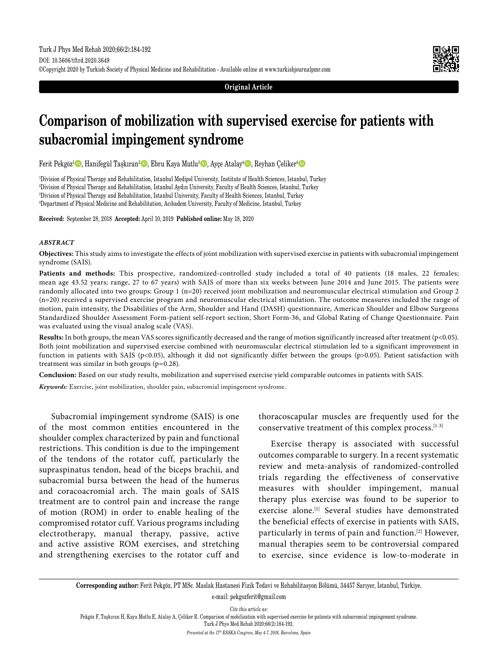

**Original Article**

# **Comparison of mobilization with supervised exercise for patients with subacromial impingement syndrome**

Ferit Pekgöz<sup>ı</sup> (D, Hanifegül Taşkıran<sup>2</sup> (D, Ebru Kaya Mutlu<sup>3</sup> (D, Ayçe Atalay<sup>4</sup> (D, Reyhan Çeliker<sup>4</sup> (D

 Division of Physical Therapy and Rehabilitation, Istanbul Medipol University, Institute of Health Sciences, Istanbul, Turkey Division of Physical Therapy and Rehabilitation, Istanbul Aydın University, Faculty of Health Sciences, Istanbul, Turkey Division of Physical Therapy and Rehabilitation, Istanbul University, Faculty of Health Sciences, Istanbul, Turkey Department of Physical Medicine and Rehabilitation, Acıbadem University, Faculty of Medicine, Istanbul, Turkey

**Received:** September 28, 2018 **Accepted:** April 10, 2019 **Published online:** May 18, 2020

#### *ABSTRACT*

**Objectives:** This study aims to investigate the effects of joint mobilization with supervised exercise in patients with subacromial impingement syndrome (SAIS).

Patients and methods: This prospective, randomized-controlled study included a total of 40 patients (18 males, 22 females; mean age 43.52 years; range, 27 to 67 years) with SAIS of more than six weeks between June 2014 and June 2015. The patients were randomly allocated into two groups: Group 1 (n=20) received joint mobilization and neuromuscular electrical stimulation and Group 2 (n=20) received a supervised exercise program and neuromuscular electrical stimulation. The outcome measures included the range of motion, pain intensity, the Disabilities of the Arm, Shoulder and Hand (DASH) questionnaire, American Shoulder and Elbow Surgeons Standardized Shoulder Assessment Form-patient self-report section, Short Form-36, and Global Rating of Change Questionnaire. Pain was evaluated using the visual analog scale (VAS).

**Results:** In both groups, the mean VAS scores significantly decreased and the range of motion significantly increased after treatment (p<0.05). Both joint mobilization and supervised exercise combined with neuromuscular electrical stimulation led to a significant improvement in function in patients with SAIS (p<0.05), although it did not significantly differ between the groups (p>0.05). Patient satisfaction with treatment was similar in both groups (p=0.28).

**Conclusion:** Based on our study results, mobilization and supervised exercise yield comparable outcomes in patients with SAIS.

*Keywords:* Exercise, joint mobilization, shoulder pain, subacromial impingement syndrome.

Subacromial impingement syndrome (SAIS) is one of the most common entities encountered in the shoulder complex characterized by pain and functional restrictions. This condition is due to the impingement of the tendons of the rotator cuff, particularly the supraspinatus tendon, head of the biceps brachii, and subacromial bursa between the head of the humerus and coracoacromial arch. The main goals of SAIS treatment are to control pain and increase the range of motion (ROM) in order to enable healing of the compromised rotator cuff. Various programs including electrotherapy, manual therapy, passive, active and active assistive ROM exercises, and stretching and strengthening exercises to the rotator cuff and thoracoscapular muscles are frequently used for the conservative treatment of this complex process.[1-3]

Exercise therapy is associated with successful outcomes comparable to surgery. In a recent systematic review and meta-analysis of randomized-controlled trials regarding the effectiveness of conservative measures with shoulder impingement, manual therapy plus exercise was found to be superior to exercise alone.<sup>[1]</sup> Several studies have demonstrated the beneficial effects of exercise in patients with SAIS, particularly in terms of pain and function.[2] However, manual therapies seem to be controversial compared to exercise, since evidence is low-to-moderate in

**Corresponding author:** Ferit Pekgöz, PT MSc. Maslak Hastanesi Fizik Tedavi ve Rehabilitasyon Bölümü, 34457 Sarıyer, İstanbul, Türkiye. e-mail: pekgozferit@gmail.com

*Cite this article as:*

Pekgöz F, Taşkıran H, Kaya Mutlu E, Atalay A, Çeliker R. Comparison of mobilization with supervised exercise for patients with subacromial impingement syndrome. Turk J Phys Med Rehab 2020;66(2):184-192.

*Presented at the 17th ESSKA Congress, May 4-7, 2016, Barcelona, Spain*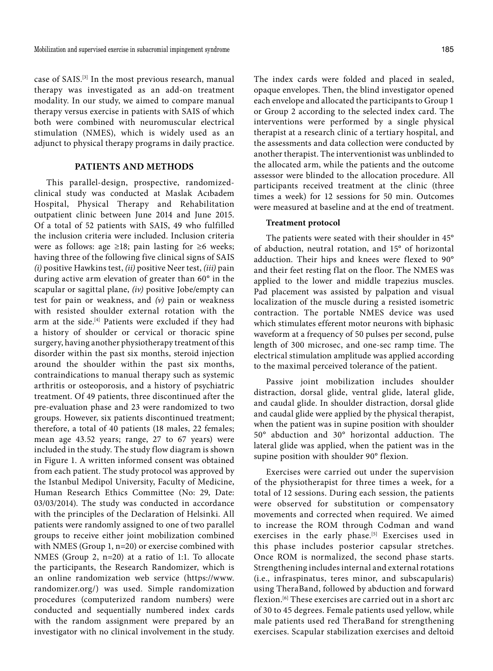case of SAIS.[3] In the most previous research, manual therapy was investigated as an add-on treatment modality. In our study, we aimed to compare manual therapy versus exercise in patients with SAIS of which both were combined with neuromuscular electrical stimulation (NMES), which is widely used as an adjunct to physical therapy programs in daily practice.

# **PATIENTS AND METHODS**

This parallel-design, prospective, randomizedclinical study was conducted at Maslak Acıbadem Hospital, Physical Therapy and Rehabilitation outpatient clinic between June 2014 and June 2015. Of a total of 52 patients with SAIS, 49 who fulfilled the inclusion criteria were included. Inclusion criteria were as follows: age  $\geq 18$ ; pain lasting for  $\geq 6$  weeks; having three of the following five clinical signs of SAIS *(i)* positive Hawkins test, *(ii)* positive Neer test, *(iii)* pain during active arm elevation of greater than 60° in the scapular or sagittal plane, *(iv)* positive Jobe/empty can test for pain or weakness, and *(v)* pain or weakness with resisted shoulder external rotation with the arm at the side.[4] Patients were excluded if they had a history of shoulder or cervical or thoracic spine surgery, having another physiotherapy treatment of this disorder within the past six months, steroid injection around the shoulder within the past six months, contraindications to manual therapy such as systemic arthritis or osteoporosis, and a history of psychiatric treatment. Of 49 patients, three discontinued after the pre-evaluation phase and 23 were randomized to two groups. However, six patients discontinued treatment; therefore, a total of 40 patients (18 males, 22 females; mean age 43.52 years; range, 27 to 67 years) were included in the study. The study flow diagram is shown in Figure 1. A written informed consent was obtained from each patient. The study protocol was approved by the Istanbul Medipol University, Faculty of Medicine, Human Research Ethics Committee (No: 29, Date: 03/03/2014). The study was conducted in accordance with the principles of the Declaration of Helsinki. All patients were randomly assigned to one of two parallel groups to receive either joint mobilization combined with NMES (Group 1, n=20) or exercise combined with NMES (Group 2, n=20) at a ratio of 1:1. To allocate the participants, the Research Randomizer, which is an online randomization web service (https://www. randomizer.org/) was used. Simple randomization procedures (computerized random numbers) were conducted and sequentially numbered index cards with the random assignment were prepared by an investigator with no clinical involvement in the study.

The index cards were folded and placed in sealed, opaque envelopes. Then, the blind investigator opened each envelope and allocated the participants to Group 1 or Group 2 according to the selected index card. The interventions were performed by a single physical therapist at a research clinic of a tertiary hospital, and the assessments and data collection were conducted by another therapist. The interventionist was unblinded to the allocated arm, while the patients and the outcome assessor were blinded to the allocation procedure. All participants received treatment at the clinic (three

#### **Treatment protocol**

The patients were seated with their shoulder in 45° of abduction, neutral rotation, and 15° of horizontal adduction. Their hips and knees were flexed to 90° and their feet resting flat on the floor. The NMES was applied to the lower and middle trapezius muscles. Pad placement was assisted by palpation and visual localization of the muscle during a resisted isometric contraction. The portable NMES device was used which stimulates efferent motor neurons with biphasic waveform at a frequency of 50 pulses per second, pulse length of 300 microsec, and one-sec ramp time. The electrical stimulation amplitude was applied according to the maximal perceived tolerance of the patient.

times a week) for 12 sessions for 50 min. Outcomes were measured at baseline and at the end of treatment.

Passive joint mobilization includes shoulder distraction, dorsal glide, ventral glide, lateral glide, and caudal glide. In shoulder distraction, dorsal glide and caudal glide were applied by the physical therapist, when the patient was in supine position with shoulder 50° abduction and 30° horizontal adduction. The lateral glide was applied, when the patient was in the supine position with shoulder 90° flexion.

Exercises were carried out under the supervision of the physiotherapist for three times a week, for a total of 12 sessions. During each session, the patients were observed for substitution or compensatory movements and corrected when required. We aimed to increase the ROM through Codman and wand exercises in the early phase.<sup>[5]</sup> Exercises used in this phase includes posterior capsular stretches. Once ROM is normalized, the second phase starts. Strengthening includes internal and external rotations (i.e., infraspinatus, teres minor, and subscapularis) using TheraBand, followed by abduction and forward flexion.<sup>[6]</sup> These exercises are carried out in a short arc of 30 to 45 degrees. Female patients used yellow, while male patients used red TheraBand for strengthening exercises. Scapular stabilization exercises and deltoid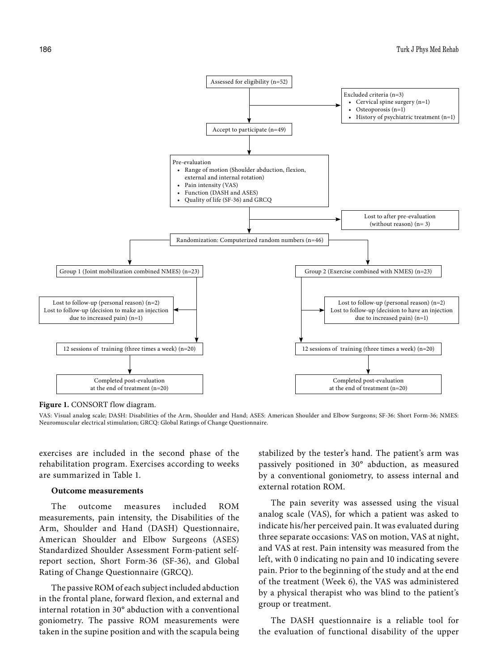

**Figure 1.** CONSORT flow diagram.

VAS: Visual analog scale; DASH: Disabilities of the Arm, Shoulder and Hand; ASES: American Shoulder and Elbow Surgeons; SF-36: Short Form-36; NMES: Neuromuscular electrical stimulation; GRCQ: Global Ratings of Change Questionnaire.

exercises are included in the second phase of the rehabilitation program. Exercises according to weeks are summarized in Table 1.

# **Outcome measurements**

The outcome measures included ROM measurements, pain intensity, the Disabilities of the Arm, Shoulder and Hand (DASH) Questionnaire, American Shoulder and Elbow Surgeons (ASES) Standardized Shoulder Assessment Form-patient selfreport section, Short Form-36 (SF-36), and Global Rating of Change Questionnaire (GRCQ).

The passive ROM of each subject included abduction in the frontal plane, forward flexion, and external and internal rotation in 30° abduction with a conventional goniometry. The passive ROM measurements were taken in the supine position and with the scapula being stabilized by the tester's hand. The patient's arm was passively positioned in 30° abduction, as measured by a conventional goniometry, to assess internal and external rotation ROM.

The pain severity was assessed using the visual analog scale (VAS), for which a patient was asked to indicate his/her perceived pain. It was evaluated during three separate occasions: VAS on motion, VAS at night, and VAS at rest. Pain intensity was measured from the left, with 0 indicating no pain and 10 indicating severe pain. Prior to the beginning of the study and at the end of the treatment (Week 6), the VAS was administered by a physical therapist who was blind to the patient's group or treatment.

The DASH questionnaire is a reliable tool for the evaluation of functional disability of the upper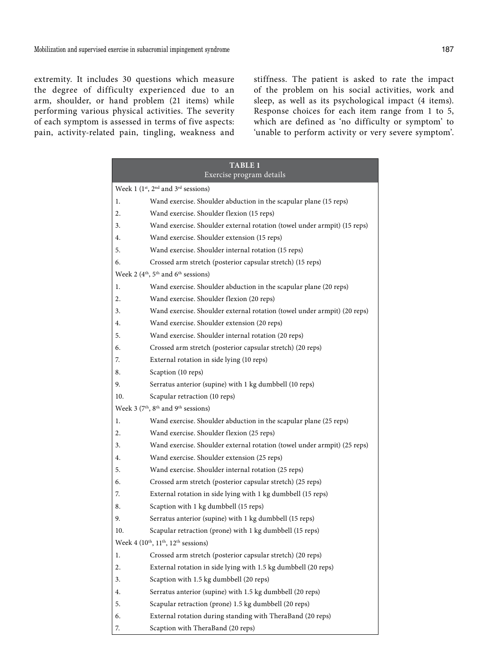extremity. It includes 30 questions which measure the degree of difficulty experienced due to an arm, shoulder, or hand problem (21 items) while performing various physical activities. The severity of each symptom is assessed in terms of five aspects: pain, activity-related pain, tingling, weakness and

stiffness. The patient is asked to rate the impact of the problem on his social activities, work and sleep, as well as its psychological impact (4 items). Response choices for each item range from 1 to 5, which are defined as 'no difficulty or symptom' to 'unable to perform activity or very severe symptom'.

| <b>TABLE 1</b>                                                          |                                                                          |  |  |  |  |  |
|-------------------------------------------------------------------------|--------------------------------------------------------------------------|--|--|--|--|--|
| Exercise program details                                                |                                                                          |  |  |  |  |  |
| Week 1 $(1st, 2nd$ and $3rd$ sessions)                                  |                                                                          |  |  |  |  |  |
| 1.                                                                      | Wand exercise. Shoulder abduction in the scapular plane (15 reps)        |  |  |  |  |  |
| 2.                                                                      | Wand exercise. Shoulder flexion (15 reps)                                |  |  |  |  |  |
| 3.                                                                      | Wand exercise. Shoulder external rotation (towel under armpit) (15 reps) |  |  |  |  |  |
| 4.                                                                      | Wand exercise. Shoulder extension (15 reps)                              |  |  |  |  |  |
| 5.                                                                      | Wand exercise. Shoulder internal rotation (15 reps)                      |  |  |  |  |  |
| Crossed arm stretch (posterior capsular stretch) (15 reps)<br>6.        |                                                                          |  |  |  |  |  |
| Week 2 (4 <sup>th</sup> , 5 <sup>th</sup> and 6 <sup>th</sup> sessions) |                                                                          |  |  |  |  |  |
| 1.                                                                      | Wand exercise. Shoulder abduction in the scapular plane (20 reps)        |  |  |  |  |  |
| 2.                                                                      | Wand exercise. Shoulder flexion (20 reps)                                |  |  |  |  |  |
| 3.                                                                      | Wand exercise. Shoulder external rotation (towel under armpit) (20 reps) |  |  |  |  |  |
| 4.                                                                      | Wand exercise. Shoulder extension (20 reps)                              |  |  |  |  |  |
| 5.                                                                      | Wand exercise. Shoulder internal rotation (20 reps)                      |  |  |  |  |  |
| 6.                                                                      | Crossed arm stretch (posterior capsular stretch) (20 reps)               |  |  |  |  |  |
| 7.                                                                      | External rotation in side lying (10 reps)                                |  |  |  |  |  |
| 8.                                                                      | Scaption (10 reps)                                                       |  |  |  |  |  |
| 9.                                                                      | Serratus anterior (supine) with 1 kg dumbbell (10 reps)                  |  |  |  |  |  |
| 10.                                                                     | Scapular retraction (10 reps)                                            |  |  |  |  |  |
|                                                                         | Week 3 (7 <sup>th</sup> , 8 <sup>th</sup> and 9 <sup>th</sup> sessions)  |  |  |  |  |  |
| 1.                                                                      | Wand exercise. Shoulder abduction in the scapular plane (25 reps)        |  |  |  |  |  |
| 2.                                                                      | Wand exercise. Shoulder flexion (25 reps)                                |  |  |  |  |  |
| 3.                                                                      | Wand exercise. Shoulder external rotation (towel under armpit) (25 reps) |  |  |  |  |  |
| 4.                                                                      | Wand exercise. Shoulder extension (25 reps)                              |  |  |  |  |  |
| 5.                                                                      | Wand exercise. Shoulder internal rotation (25 reps)                      |  |  |  |  |  |
| 6.                                                                      | Crossed arm stretch (posterior capsular stretch) (25 reps)               |  |  |  |  |  |
| 7.                                                                      | External rotation in side lying with 1 kg dumbbell (15 reps)             |  |  |  |  |  |
| 8.                                                                      | Scaption with 1 kg dumbbell (15 reps)                                    |  |  |  |  |  |
| 9.                                                                      | Serratus anterior (supine) with 1 kg dumbbell (15 reps)                  |  |  |  |  |  |
| 10.                                                                     | Scapular retraction (prone) with 1 kg dumbbell (15 reps)                 |  |  |  |  |  |
| Week 4 $(10^{th}, 11^{th}, 12^{th}$ sessions)                           |                                                                          |  |  |  |  |  |
| 1.                                                                      | Crossed arm stretch (posterior capsular stretch) (20 reps)               |  |  |  |  |  |
| 2.                                                                      | External rotation in side lying with 1.5 kg dumbbell (20 reps)           |  |  |  |  |  |
| 3.                                                                      | Scaption with 1.5 kg dumbbell (20 reps)                                  |  |  |  |  |  |
| 4.                                                                      | Serratus anterior (supine) with 1.5 kg dumbbell (20 reps)                |  |  |  |  |  |
| 5.                                                                      | Scapular retraction (prone) 1.5 kg dumbbell (20 reps)                    |  |  |  |  |  |
| 6.                                                                      | External rotation during standing with TheraBand (20 reps)               |  |  |  |  |  |
| 7.                                                                      | Scaption with TheraBand (20 reps)                                        |  |  |  |  |  |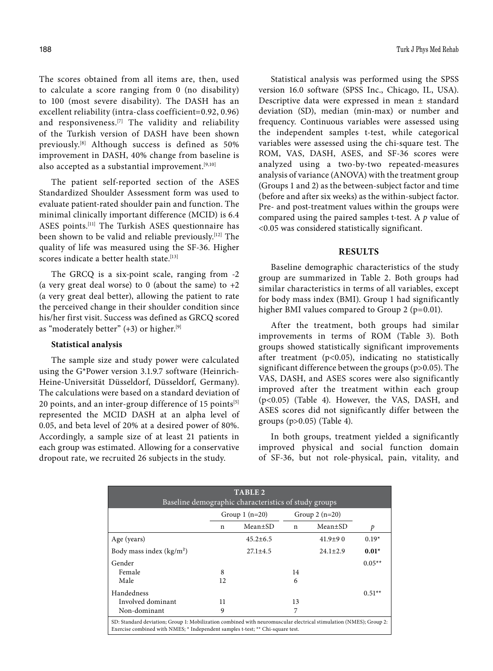The scores obtained from all items are, then, used to calculate a score ranging from 0 (no disability) to 100 (most severe disability). The DASH has an excellent reliability (intra-class coefficient=0.92, 0.96) and responsiveness.[7] The validity and reliability of the Turkish version of DASH have been shown previously.[8] Although success is defined as 50% improvement in DASH, 40% change from baseline is also accepted as a substantial improvement.<sup>[9,10]</sup>

The patient self-reported section of the ASES Standardized Shoulder Assessment form was used to evaluate patient-rated shoulder pain and function. The minimal clinically important difference (MCID) is 6.4 ASES points.[11] The Turkish ASES questionnaire has been shown to be valid and reliable previously.[12] The quality of life was measured using the SF-36. Higher scores indicate a better health state.<sup>[13]</sup>

The GRCQ is a six-point scale, ranging from -2 (a very great deal worse) to 0 (about the same) to  $+2$ (a very great deal better), allowing the patient to rate the perceived change in their shoulder condition since his/her first visit. Success was defined as GRCQ scored as "moderately better" (+3) or higher.<sup>[9]</sup>

# **Statistical analysis**

The sample size and study power were calculated using the G\*Power version 3.1.9.7 software (Heinrich-Heine-Universität Düsseldorf, Düsseldorf, Germany). The calculations were based on a standard deviation of 20 points, and an inter-group difference of 15 points<sup>[5]</sup> represented the MCID DASH at an alpha level of 0.05, and beta level of 20% at a desired power of 80%. Accordingly, a sample size of at least 21 patients in each group was estimated. Allowing for a conservative dropout rate, we recruited 26 subjects in the study.

Statistical analysis was performed using the SPSS version 16.0 software (SPSS Inc., Chicago, IL, USA). Descriptive data were expressed in mean ± standard deviation (SD), median (min-max) or number and frequency. Continuous variables were assessed using the independent samples t-test, while categorical variables were assessed using the chi-square test. The ROM, VAS, DASH, ASES, and SF-36 scores were analyzed using a two-by-two repeated-measures analysis of variance (ANOVA) with the treatment group (Groups 1 and 2) as the between-subject factor and time (before and after six weeks) as the within-subject factor. Pre- and post-treatment values within the groups were compared using the paired samples t-test. A *p* value of <0.05 was considered statistically significant.

#### **RESULTS**

Baseline demographic characteristics of the study group are summarized in Table 2. Both groups had similar characteristics in terms of all variables, except for body mass index (BMI). Group 1 had significantly higher BMI values compared to Group 2 (p=0.01).

After the treatment, both groups had similar improvements in terms of ROM (Table 3). Both groups showed statistically significant improvements after treatment ( $p<0.05$ ), indicating no statistically significant difference between the groups (p>0.05). The VAS, DASH, and ASES scores were also significantly improved after the treatment within each group (p<0.05) (Table 4). However, the VAS, DASH, and ASES scores did not significantly differ between the groups (p>0.05) (Table 4).

In both groups, treatment yielded a significantly improved physical and social function domain of SF-36, but not role-physical, pain, vitality, and

| <b>TABLE 2</b><br>Baseline demographic characteristics of study groups                                                                                                                              |                 |                |                 |                |          |  |
|-----------------------------------------------------------------------------------------------------------------------------------------------------------------------------------------------------|-----------------|----------------|-----------------|----------------|----------|--|
|                                                                                                                                                                                                     | Group $1(n=20)$ |                | Group $2(n=20)$ |                |          |  |
|                                                                                                                                                                                                     | n               | $Mean \pm SD$  | n               | Mean±SD        | p        |  |
| Age (years)                                                                                                                                                                                         |                 | $45.2 \pm 6.5$ |                 | $41.9 + 90$    | $0.19*$  |  |
| Body mass index $(kg/m2)$                                                                                                                                                                           |                 | $27.1 + 4.5$   |                 | $24.1 \pm 2.9$ | $0.01*$  |  |
| Gender                                                                                                                                                                                              |                 |                |                 |                | $0.05**$ |  |
| Female                                                                                                                                                                                              | 8               |                | 14              |                |          |  |
| Male                                                                                                                                                                                                | 12              |                | 6               |                |          |  |
| Handedness                                                                                                                                                                                          |                 |                |                 |                | $0.51**$ |  |
| Involved dominant                                                                                                                                                                                   | 11              |                | 13              |                |          |  |
| Non-dominant                                                                                                                                                                                        | 9               |                | 7               |                |          |  |
| SD: Standard deviation; Group 1: Mobilization combined with neuromuscular electrical stimulation (NMES); Group 2:<br>Exercise combined with NMES; * Independent samples t-test; ** Chi-square test. |                 |                |                 |                |          |  |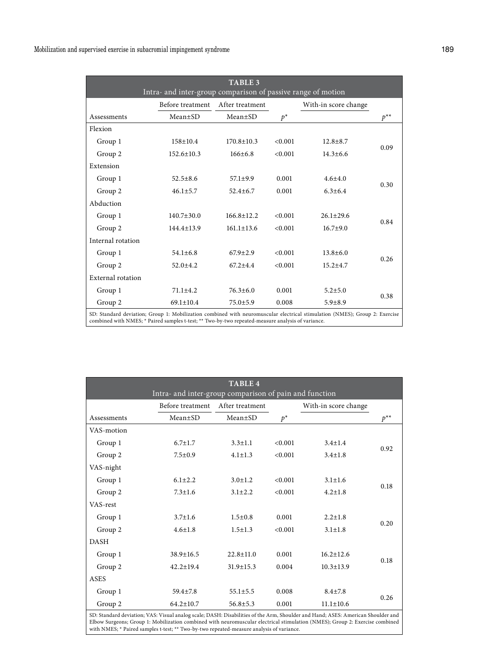| <b>TABLE 3</b><br>Intra- and inter-group comparison of passive range of motion                                                                                                                                                  |                  |                  |         |                      |                  |  |
|---------------------------------------------------------------------------------------------------------------------------------------------------------------------------------------------------------------------------------|------------------|------------------|---------|----------------------|------------------|--|
|                                                                                                                                                                                                                                 | Before treatment | After treatment  |         | With-in score change |                  |  |
| Assessments                                                                                                                                                                                                                     | Mean±SD          | $Mean \pm SD$    | $p^*$   |                      | $p^{\star\star}$ |  |
| Flexion                                                                                                                                                                                                                         |                  |                  |         |                      |                  |  |
| Group 1                                                                                                                                                                                                                         | $158 \pm 10.4$   | $170.8 \pm 10.3$ | < 0.001 | $12.8 \pm 8.7$       | 0.09             |  |
| Group 2                                                                                                                                                                                                                         | $152.6 \pm 10.3$ | $166+6.8$        | < 0.001 | $14.3 + 6.6$         |                  |  |
| Extension                                                                                                                                                                                                                       |                  |                  |         |                      |                  |  |
| Group 1                                                                                                                                                                                                                         | $52.5 \pm 8.6$   | $57.1 \pm 9.9$   | 0.001   | $4.6 + 4.0$          |                  |  |
| Group 2                                                                                                                                                                                                                         | $46.1 \pm 5.7$   | $52.4 \pm 6.7$   | 0.001   | $6.3 + 6.4$          | 0.30             |  |
| Abduction                                                                                                                                                                                                                       |                  |                  |         |                      |                  |  |
| Group 1                                                                                                                                                                                                                         | $140.7 \pm 30.0$ | $166.8 \pm 12.2$ | < 0.001 | $26.1 + 29.6$        |                  |  |
| Group 2                                                                                                                                                                                                                         | $144.4 \pm 13.9$ | $161.1 \pm 13.6$ | < 0.001 | $16.7 + 9.0$         | 0.84             |  |
| Internal rotation                                                                                                                                                                                                               |                  |                  |         |                      |                  |  |
| Group 1                                                                                                                                                                                                                         | $54.1 \pm 6.8$   | $67.9 + 2.9$     | < 0.001 | $13.8 + 6.0$         |                  |  |
| Group 2                                                                                                                                                                                                                         | $52.0 \pm 4.2$   | $67.2 + 4.4$     | < 0.001 | $15.2 \pm 4.7$       | 0.26             |  |
| <b>External rotation</b>                                                                                                                                                                                                        |                  |                  |         |                      |                  |  |
| Group 1                                                                                                                                                                                                                         | $71.1 + 4.2$     | $76.3 \pm 6.0$   | 0.001   | $5.2 + 5.0$          | 0.38             |  |
| Group 2                                                                                                                                                                                                                         | $69.1 \pm 10.4$  | $75.0 + 5.9$     | 0.008   | $5.9 + 8.9$          |                  |  |
| SD: Standard deviation; Group 1: Mobilization combined with neuromuscular electrical stimulation (NMES); Group 2: Exercise<br>combined with NMES; * Paired samples t-test; ** Two-by-two repeated-measure analysis of variance. |                  |                  |         |                      |                  |  |

| <b>TABLE 4</b><br>Intra- and inter-group comparison of pain and function |                  |                 |         |                      |          |
|--------------------------------------------------------------------------|------------------|-----------------|---------|----------------------|----------|
|                                                                          | Before treatment | After treatment |         | With-in score change |          |
| Assessments                                                              | $Mean \pm SD$    | $Mean \pm SD$   | $p^*$   |                      | $p^{**}$ |
| VAS-motion                                                               |                  |                 |         |                      |          |
| Group 1                                                                  | $6.7 \pm 1.7$    | $3.3 \pm 1.1$   | < 0.001 | $3.4 \pm 1.4$        |          |
| Group 2                                                                  | $7.5 \pm 0.9$    | $4.1 \pm 1.3$   | < 0.001 | $3.4 \pm 1.8$        | 0.92     |
| VAS-night                                                                |                  |                 |         |                      |          |
| Group 1                                                                  | $6.1 \pm 2.2$    | $3.0 \pm 1.2$   | < 0.001 | $3.1 \pm 1.6$        |          |
| Group 2                                                                  | $7.3 \pm 1.6$    | $3.1 \pm 2.2$   | < 0.001 | $4.2 \pm 1.8$        | 0.18     |
| VAS-rest                                                                 |                  |                 |         |                      |          |
| Group 1                                                                  | $3.7 \pm 1.6$    | $1.5 \pm 0.8$   | 0.001   | $2.2 \pm 1.8$        |          |
| Group 2                                                                  | $4.6 \pm 1.8$    | $1.5 \pm 1.3$   | < 0.001 | $3.1 \pm 1.8$        | 0.20     |
| <b>DASH</b>                                                              |                  |                 |         |                      |          |
| Group 1                                                                  | $38.9 \pm 16.5$  | $22.8 \pm 11.0$ | 0.001   | $16.2 \pm 12.6$      |          |
| Group 2                                                                  | $42.2 \pm 19.4$  | $31.9 \pm 15.3$ | 0.004   | $10.3 \pm 13.9$      | 0.18     |
| ASES                                                                     |                  |                 |         |                      |          |
| Group 1                                                                  | $59.4 \pm 7.8$   | $55.1 \pm 5.5$  | 0.008   | $8.4 \pm 7.8$        |          |
| Group 2                                                                  | $64.2 \pm 10.7$  | $56.8 \pm 5.3$  | 0.001   | $11.1 \pm 10.6$      | 0.26     |

SD: Standard deviation; VAS: Visual analog scale; DASH: Disabilities of the Arm, Shoulder and Hand; ASES: American Shoulder and<br>Elbow Surgeons; Group 1: Mobilization combined with neuromuscular electrical stimulation (NMES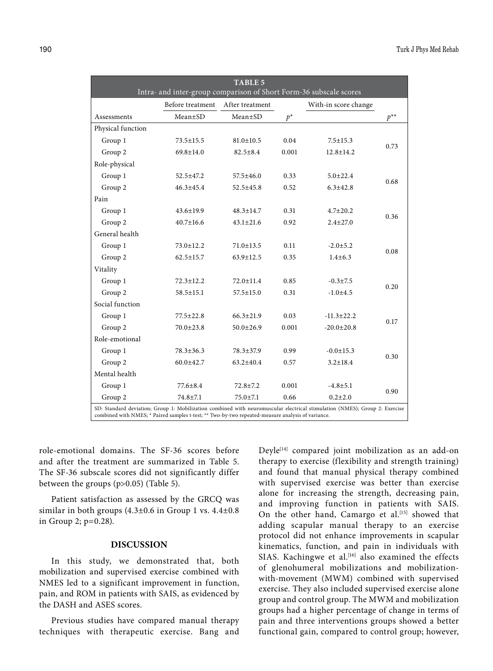|                                                                                                                                                                                                                                 | Intra- and inter-group comparison of Short Form-36 subscale scores | <b>TABLE 5</b>  |       |                      |          |  |
|---------------------------------------------------------------------------------------------------------------------------------------------------------------------------------------------------------------------------------|--------------------------------------------------------------------|-----------------|-------|----------------------|----------|--|
|                                                                                                                                                                                                                                 | Before treatment                                                   | After treatment |       | With-in score change |          |  |
| Assessments                                                                                                                                                                                                                     | $Mean \pm SD$                                                      | $Mean \pm SD$   | $p^*$ |                      | $p^{**}$ |  |
| Physical function                                                                                                                                                                                                               |                                                                    |                 |       |                      |          |  |
| Group 1                                                                                                                                                                                                                         | 73.5±15.5                                                          | $81.0 \pm 10.5$ | 0.04  | $7.5 \pm 15.3$       |          |  |
| Group 2                                                                                                                                                                                                                         | $69.8 \pm 14.0$                                                    | $82.5 \pm 8.4$  | 0.001 | $12.8 \pm 14.2$      | 0.73     |  |
| Role-physical                                                                                                                                                                                                                   |                                                                    |                 |       |                      |          |  |
| Group 1                                                                                                                                                                                                                         | 52.5±47.2                                                          | $57.5 \pm 46.0$ | 0.33  | $5.0 \pm 22.4$       |          |  |
| Group 2                                                                                                                                                                                                                         | $46.3 \pm 45.4$                                                    | $52.5 \pm 45.8$ | 0.52  | $6.3 \pm 42.8$       | 0.68     |  |
| Pain                                                                                                                                                                                                                            |                                                                    |                 |       |                      |          |  |
| Group 1                                                                                                                                                                                                                         | $43.6 \pm 19.9$                                                    | $48.3 \pm 14.7$ | 0.31  | $4.7 \pm 20.2$       |          |  |
| Group 2                                                                                                                                                                                                                         | $40.7 \pm 16.6$                                                    | $43.1 \pm 21.6$ | 0.92  | $2.4 + 27.0$         | 0.36     |  |
| General health                                                                                                                                                                                                                  |                                                                    |                 |       |                      |          |  |
| Group 1                                                                                                                                                                                                                         | $73.0 \pm 12.2$                                                    | $71.0 \pm 13.5$ | 0.11  | $-2.0 \pm 5.2$       |          |  |
| Group 2                                                                                                                                                                                                                         | $62.5 \pm 15.7$                                                    | $63.9 \pm 12.5$ | 0.35  | $1.4 \pm 6.3$        | 0.08     |  |
| Vitality                                                                                                                                                                                                                        |                                                                    |                 |       |                      |          |  |
| Group 1                                                                                                                                                                                                                         | 72.3±12.2                                                          | $72.0 \pm 11.4$ | 0.85  | $-0.3 \pm 7.5$       |          |  |
| Group 2                                                                                                                                                                                                                         | $58.5 \pm 15.1$                                                    | 57.5±15.0       | 0.31  | $-1.0+4.5$           | 0.20     |  |
| Social function                                                                                                                                                                                                                 |                                                                    |                 |       |                      |          |  |
| Group 1                                                                                                                                                                                                                         | 77.5±22.8                                                          | $66.3 \pm 21.9$ | 0.03  | $-11.3 \pm 22.2$     |          |  |
| Group 2                                                                                                                                                                                                                         | $70.0 \pm 23.8$                                                    | $50.0 \pm 26.9$ | 0.001 | $-20.0 \pm 20.8$     | 0.17     |  |
| Role-emotional                                                                                                                                                                                                                  |                                                                    |                 |       |                      |          |  |
| Group 1                                                                                                                                                                                                                         | $78.3 \pm 36.3$                                                    | 78.3±37.9       | 0.99  | $-0.0 \pm 15.3$      | 0.30     |  |
| Group 2                                                                                                                                                                                                                         | $60.0 \pm 42.7$                                                    | $63.2 \pm 40.4$ | 0.57  | $3.2 \pm 18.4$       |          |  |
| Mental health                                                                                                                                                                                                                   |                                                                    |                 |       |                      |          |  |
| Group 1                                                                                                                                                                                                                         | $77.6 \pm 8.4$                                                     | $72.8 \pm 7.2$  | 0.001 | $-4.8 \pm 5.1$       |          |  |
| Group 2                                                                                                                                                                                                                         | $74.8 \pm 7.1$                                                     | $75.0 \pm 7.1$  | 0.66  | $0.2{\pm}2.0$        | 0.90     |  |
| SD: Standard deviation; Group 1: Mobilization combined with neuromuscular electrical stimulation (NMES); Group 2: Exercise<br>combined with NMES; * Paired samples t-test; ** Two-by-two repeated-measure analysis of variance. |                                                                    |                 |       |                      |          |  |

role-emotional domains. The SF-36 scores before and after the treatment are summarized in Table 5. The SF-36 subscale scores did not significantly differ between the groups (p>0.05) (Table 5).

Patient satisfaction as assessed by the GRCQ was similar in both groups  $(4.3\pm0.6)$  in Group 1 vs.  $4.4\pm0.8$ in Group 2; p=0.28).

## **DISCUSSION**

In this study, we demonstrated that, both mobilization and supervised exercise combined with NMES led to a significant improvement in function, pain, and ROM in patients with SAIS, as evidenced by the DASH and ASES scores.

Previous studies have compared manual therapy techniques with therapeutic exercise. Bang and Deyle[14] compared joint mobilization as an add-on therapy to exercise (flexibility and strength training) and found that manual physical therapy combined with supervised exercise was better than exercise alone for increasing the strength, decreasing pain, and improving function in patients with SAIS. On the other hand, Camargo et al.<sup>[15]</sup> showed that adding scapular manual therapy to an exercise protocol did not enhance improvements in scapular kinematics, function, and pain in individuals with SIAS. Kachingwe et al.<sup>[16]</sup> also examined the effects of glenohumeral mobilizations and mobilizationwith-movement (MWM) combined with supervised exercise. They also included supervised exercise alone group and control group. The MWM and mobilization groups had a higher percentage of change in terms of pain and three interventions groups showed a better functional gain, compared to control group; however,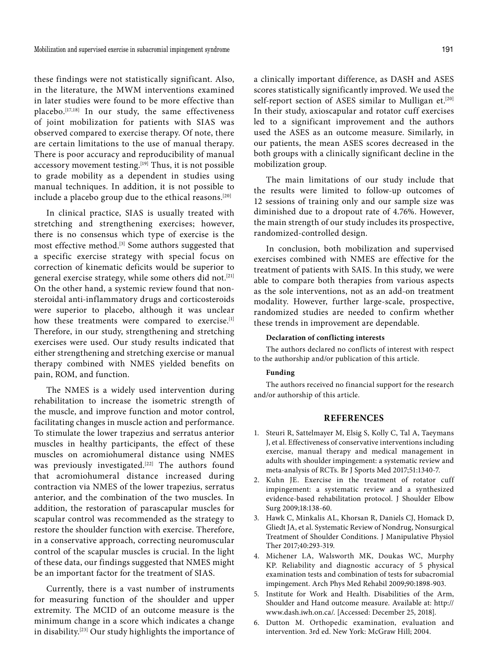these findings were not statistically significant. Also, in the literature, the MWM interventions examined in later studies were found to be more effective than placebo.<sup>[17,18]</sup> In our study, the same effectiveness of joint mobilization for patients with SIAS was observed compared to exercise therapy. Of note, there are certain limitations to the use of manual therapy. There is poor accuracy and reproducibility of manual accessory movement testing.<sup>[19]</sup> Thus, it is not possible to grade mobility as a dependent in studies using manual techniques. In addition, it is not possible to include a placebo group due to the ethical reasons.<sup>[20]</sup>

In clinical practice, SIAS is usually treated with stretching and strengthening exercises; however, there is no consensus which type of exercise is the most effective method.<sup>[3]</sup> Some authors suggested that a specific exercise strategy with special focus on correction of kinematic deficits would be superior to general exercise strategy, while some others did not.[21] On the other hand, a systemic review found that nonsteroidal anti-inflammatory drugs and corticosteroids were superior to placebo, although it was unclear how these treatments were compared to exercise.<sup>[1]</sup> Therefore, in our study, strengthening and stretching exercises were used. Our study results indicated that either strengthening and stretching exercise or manual therapy combined with NMES yielded benefits on pain, ROM, and function.

The NMES is a widely used intervention during rehabilitation to increase the isometric strength of the muscle, and improve function and motor control, facilitating changes in muscle action and performance. To stimulate the lower trapezius and serratus anterior muscles in healthy participants, the effect of these muscles on acromiohumeral distance using NMES was previously investigated.<sup>[22]</sup> The authors found that acromiohumeral distance increased during contraction via NMES of the lower trapezius, serratus anterior, and the combination of the two muscles. In addition, the restoration of parascapular muscles for scapular control was recommended as the strategy to restore the shoulder function with exercise. Therefore, in a conservative approach, correcting neuromuscular control of the scapular muscles is crucial. In the light of these data, our findings suggested that NMES might be an important factor for the treatment of SIAS.

Currently, there is a vast number of instruments for measuring function of the shoulder and upper extremity. The MCID of an outcome measure is the minimum change in a score which indicates a change in disability.[23] Our study highlights the importance of a clinically important difference, as DASH and ASES scores statistically significantly improved. We used the self-report section of ASES similar to Mulligan et.<sup>[20]</sup> In their study, axioscapular and rotator cuff exercises led to a significant improvement and the authors used the ASES as an outcome measure. Similarly, in our patients, the mean ASES scores decreased in the both groups with a clinically significant decline in the mobilization group.

The main limitations of our study include that the results were limited to follow-up outcomes of 12 sessions of training only and our sample size was diminished due to a dropout rate of 4.76%. However, the main strength of our study includes its prospective, randomized-controlled design.

In conclusion, both mobilization and supervised exercises combined with NMES are effective for the treatment of patients with SAIS. In this study, we were able to compare both therapies from various aspects as the sole interventions, not as an add-on treatment modality. However, further large-scale, prospective, randomized studies are needed to confirm whether these trends in improvement are dependable.

#### **Declaration of conflicting interests**

The authors declared no conflicts of interest with respect to the authorship and/or publication of this article.

## **Funding**

The authors received no financial support for the research and/or authorship of this article.

#### **REFERENCES**

- 1. Steuri R, Sattelmayer M, Elsig S, Kolly C, Tal A, Taeymans J, et al. Effectiveness of conservative interventions including exercise, manual therapy and medical management in adults with shoulder impingement: a systematic review and meta-analysis of RCTs. Br J Sports Med 2017;51:1340-7.
- 2. Kuhn JE. Exercise in the treatment of rotator cuff impingement: a systematic review and a synthesized evidence-based rehabilitation protocol. J Shoulder Elbow Surg 2009;18:138-60.
- 3. Hawk C, Minkalis AL, Khorsan R, Daniels CJ, Homack D, Gliedt JA, et al. Systematic Review of Nondrug, Nonsurgical Treatment of Shoulder Conditions. J Manipulative Physiol Ther 2017;40:293-319.
- 4. Michener LA, Walsworth MK, Doukas WC, Murphy KP. Reliability and diagnostic accuracy of 5 physical examination tests and combination of tests for subacromial impingement. Arch Phys Med Rehabil 2009;90:1898-903.
- 5. Institute for Work and Health. Disabilities of the Arm, Shoulder and Hand outcome measure. Available at: http:// www.dash.iwh.on.ca/. [Accessed: December 25, 2018].
- 6. Dutton M. Orthopedic examination, evaluation and intervention. 3rd ed. New York: McGraw Hill; 2004.